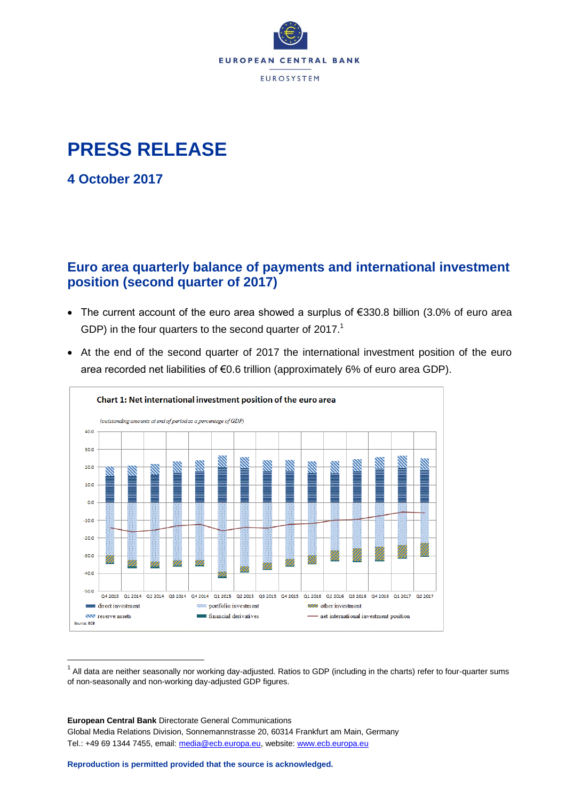

# **PRESS RELEASE**

**4 October 2017**

 $\overline{a}$ 

### **Euro area quarterly balance of payments and international investment position (second quarter of 2017)**

- The current account of the euro area showed a surplus of €330.8 billion (3.0% of euro area GDP) in the four quarters to the second quarter of 2017.<sup>1</sup>
- At the end of the second quarter of 2017 the international investment position of the euro area recorded net liabilities of €0.6 trillion (approximately 6% of euro area GDP).



 $^1$  All data are neither seasonally nor working day-adjusted. Ratios to GDP (including in the charts) refer to four-quarter sums of non-seasonally and non-working day-adjusted GDP figures.

**European Central Bank** Directorate General Communications Global Media Relations Division, Sonnemannstrasse 20, 60314 Frankfurt am Main, Germany Tel.: +49 69 1344 7455, email: [media@ecb.europa.eu,](mailto:media@ecb.europa.eu) website[: www.ecb.europa.eu](http://www.ecb.europa.eu/)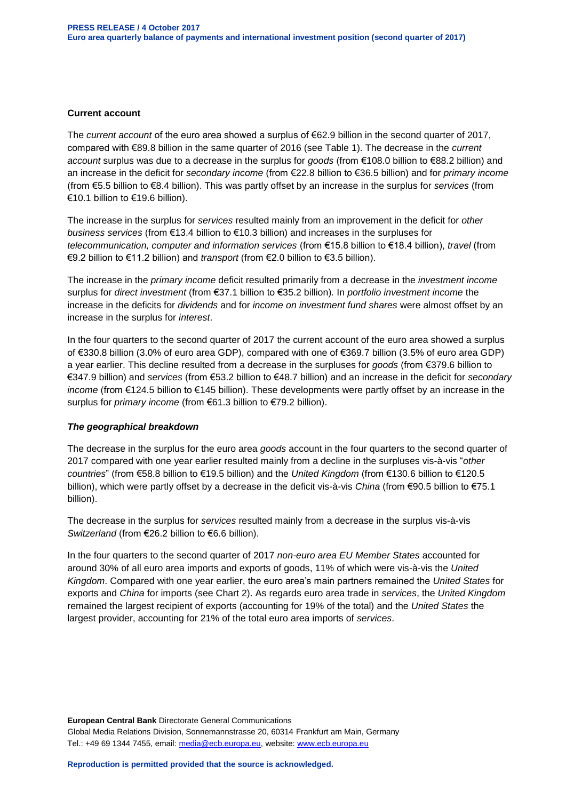#### **Current account**

The *current account* of the euro area showed a surplus of €62.9 billion in the second quarter of 2017, compared with €89.8 billion in the same quarter of 2016 (see Table 1). The decrease in the *current account* surplus was due to a decrease in the surplus for *goods* (from €108.0 billion to €88.2 billion) and an increase in the deficit for *secondary income* (from €22.8 billion to €36.5 billion) and for *primary income* (from €5.5 billion to €8.4 billion). This was partly offset by an increase in the surplus for *services* (from €10.1 billion to €19.6 billion).

The increase in the surplus for *services* resulted mainly from an improvement in the deficit for *other business services* (from €13.4 billion to €10.3 billion) and increases in the surpluses for *telecommunication, computer and information services* (from €15.8 billion to €18.4 billion), *travel* (from €9.2 billion to €11.2 billion) and *transport* (from €2.0 billion to €3.5 billion).

The increase in the *primary income* deficit resulted primarily from a decrease in the *investment income* surplus for *direct investment* (from €37.1 billion to €35.2 billion)*.* In *portfolio investment income* the increase in the deficits for *dividends* and for *income on investment fund shares* were almost offset by an increase in the surplus for *interest*.

In the four quarters to the second quarter of 2017 the current account of the euro area showed a surplus of €330.8 billion (3.0% of euro area GDP), compared with one of €369.7 billion (3.5% of euro area GDP) a year earlier. This decline resulted from a decrease in the surpluses for *goods* (from €379.6 billion to €347.9 billion) and *services* (from €53.2 billion to €48.7 billion) and an increase in the deficit for *secondary income* (from €124.5 billion to €145 billion). These developments were partly offset by an increase in the surplus for *primary income* (from €61.3 billion to €79.2 billion).

#### *The geographical breakdown*

The decrease in the surplus for the euro area *goods* account in the four quarters to the second quarter of 2017 compared with one year earlier resulted mainly from a decline in the surpluses vis-à-vis "*other countries*" (from €58.8 billion to €19.5 billion) and the *United Kingdom* (from €130.6 billion to €120.5 billion), which were partly offset by a decrease in the deficit vis-à-vis *China* (from €90.5 billion to €75.1 billion).

The decrease in the surplus for *services* resulted mainly from a decrease in the surplus vis-à-vis *Switzerland* (from €26.2 billion to €6.6 billion).

In the four quarters to the second quarter of 2017 *non-euro area EU Member States* accounted for around 30% of all euro area imports and exports of goods, 11% of which were vis-à-vis the *United Kingdom*. Compared with one year earlier, the euro area's main partners remained the *United States* for exports and *China* for imports (see Chart 2). As regards euro area trade in *services*, the *United Kingdom* remained the largest recipient of exports (accounting for 19% of the total) and the *United States* the largest provider, accounting for 21% of the total euro area imports of *services*.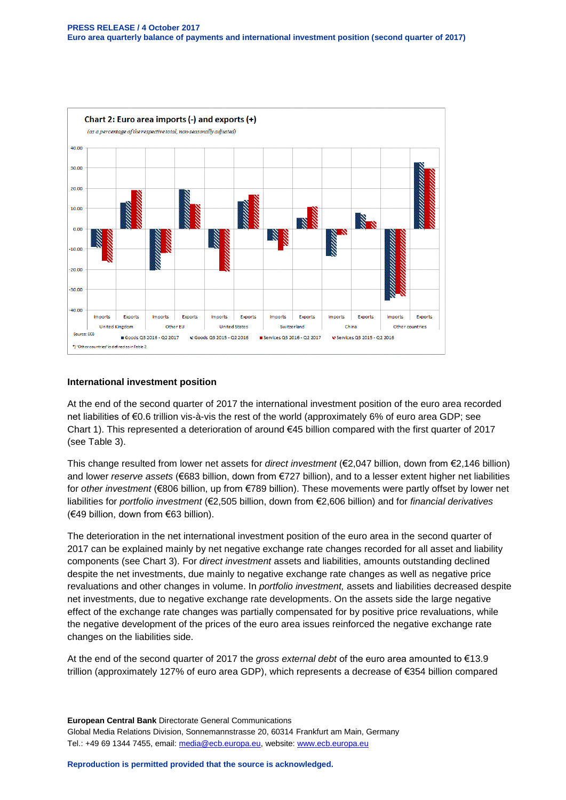

#### **International investment position**

At the end of the second quarter of 2017 the international investment position of the euro area recorded net liabilities of €0.6 trillion vis-à-vis the rest of the world (approximately 6% of euro area GDP; see Chart 1). This represented a deterioration of around  $\epsilon$ 45 billion compared with the first quarter of 2017 (see Table 3).

This change resulted from lower net assets for *direct investment* (€2,047 billion, down from €2,146 billion) and lower *reserve assets* (€683 billion, down from €727 billion), and to a lesser extent higher net liabilities for *other investment* (€806 billion, up from €789 billion). These movements were partly offset by lower net liabilities for *portfolio investment* (€2,505 billion, down from €2,606 billion) and for *financial derivatives* (€49 billion, down from €63 billion).

The deterioration in the net international investment position of the euro area in the second quarter of 2017 can be explained mainly by net negative exchange rate changes recorded for all asset and liability components (see Chart 3). For *direct investment* assets and liabilities, amounts outstanding declined despite the net investments, due mainly to negative exchange rate changes as well as negative price revaluations and other changes in volume. In *portfolio investment,* assets and liabilities decreased despite net investments, due to negative exchange rate developments. On the assets side the large negative effect of the exchange rate changes was partially compensated for by positive price revaluations, while the negative development of the prices of the euro area issues reinforced the negative exchange rate changes on the liabilities side.

At the end of the second quarter of 2017 the *gross external debt* of the euro area amounted to €13.9 trillion (approximately 127% of euro area GDP), which represents a decrease of €354 billion compared

**European Central Bank** Directorate General Communications Global Media Relations Division, Sonnemannstrasse 20, 60314 Frankfurt am Main, Germany Tel.: +49 69 1344 7455, email: [media@ecb.europa.eu,](mailto:media@ecb.europa.eu) website[: www.ecb.europa.eu](http://www.ecb.europa.eu/)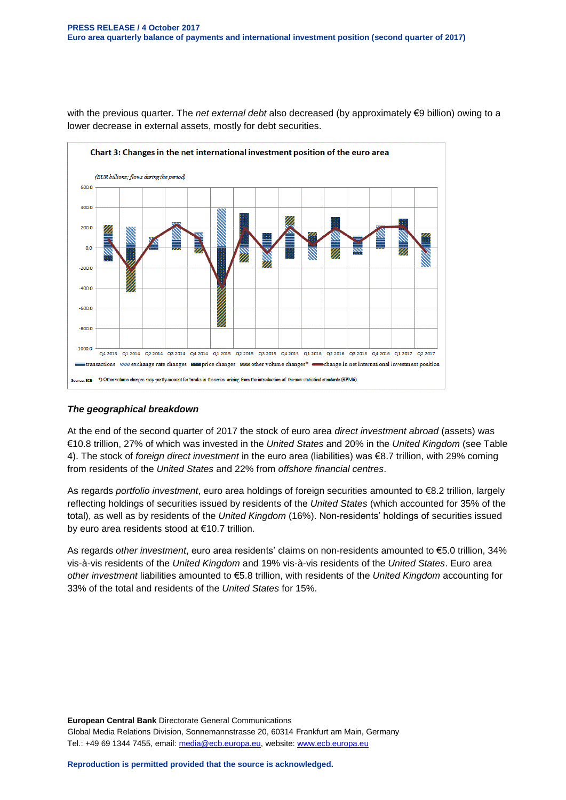

with the previous quarter. The *net external debt* also decreased (by approximately €9 billion) owing to a lower decrease in external assets, mostly for debt securities.

#### *The geographical breakdown*

At the end of the second quarter of 2017 the stock of euro area *direct investment abroad* (assets) was €10.8 trillion, 27% of which was invested in the *United States* and 20% in the *United Kingdom* (see Table 4). The stock of *foreign direct investment* in the euro area (liabilities) was €8.7 trillion, with 29% coming from residents of the *United States* and 22% from *offshore financial centres*.

As regards *portfolio investment*, euro area holdings of foreign securities amounted to €8.2 trillion, largely reflecting holdings of securities issued by residents of the *United States* (which accounted for 35% of the total), as well as by residents of the *United Kingdom* (16%). Non-residents' holdings of securities issued by euro area residents stood at €10.7 trillion.

As regards *other investment*, euro area residents' claims on non-residents amounted to €5.0 trillion, 34% vis-à-vis residents of the *United Kingdom* and 19% vis-à-vis residents of the *United States*. Euro area *other investment* liabilities amounted to €5.8 trillion, with residents of the *United Kingdom* accounting for 33% of the total and residents of the *United States* for 15%.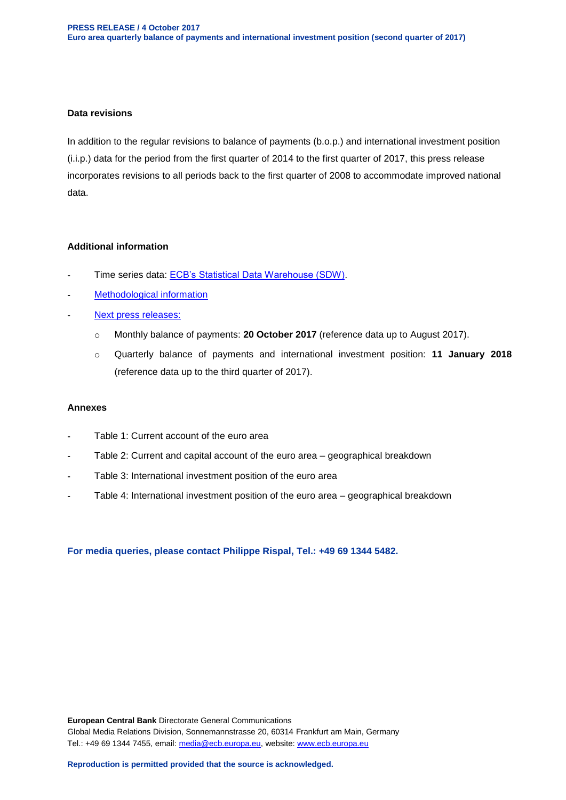#### **Data revisions**

In addition to the regular revisions to balance of payments (b.o.p.) and international investment position (i.i.p.) data for the period from the first quarter of 2014 to the first quarter of 2017, this press release incorporates revisions to all periods back to the first quarter of 2008 to accommodate improved national data.

#### **Additional information**

- Time series data: [ECB's Statistical Data Warehouse \(SDW\).](http://sdw.ecb.europa.eu/browse.do?node=9691138)
- [Methodological information](http://www.ecb.europa.eu/stats/external/balance/html/index.en.html)
- [Next press releases:](http://www.ecb.europa.eu/press/calendars/statscal/ext/html/stprbp.en.html)
	- o Monthly balance of payments: **20 October 2017** (reference data up to August 2017).
	- o Quarterly balance of payments and international investment position: **11 January 2018** (reference data up to the third quarter of 2017).

#### **Annexes**

- Table 1: Current account of the euro area
- Table 2: Current and capital account of the euro area geographical breakdown
- Table 3: International investment position of the euro area
- Table 4: International investment position of the euro area geographical breakdown

**For media queries, please contact Philippe Rispal, Tel.: +49 69 1344 5482.**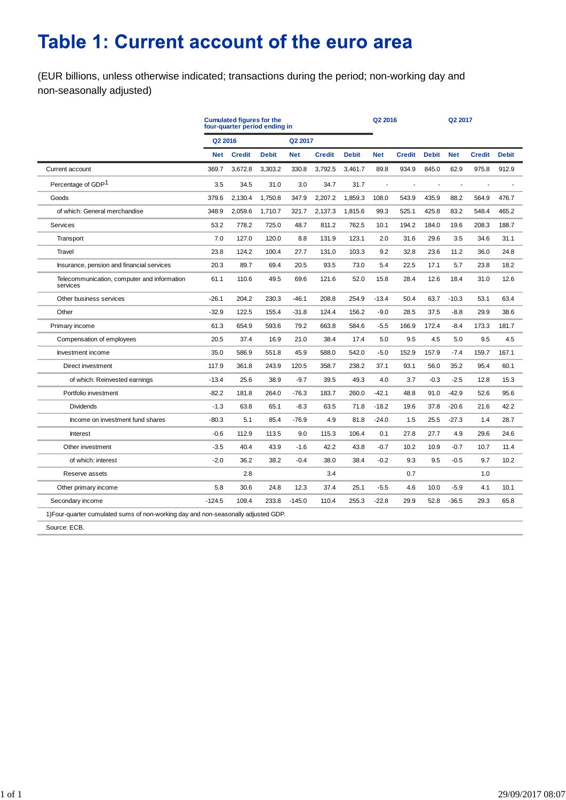# Table 1: Current account of the euro area

(EUR billions, unless otherwise indicated; transactions during the period; non-working day and non-seasonally adjusted)

|                                                                                    |            | <b>Cumulated figures for the</b><br>four-quarter period ending in | Q2 2016      |            |               | Q2 2017      |            |               |              |            |               |              |
|------------------------------------------------------------------------------------|------------|-------------------------------------------------------------------|--------------|------------|---------------|--------------|------------|---------------|--------------|------------|---------------|--------------|
|                                                                                    | Q2 2016    |                                                                   |              | Q2 2017    |               |              |            |               |              |            |               |              |
|                                                                                    | <b>Net</b> | <b>Credit</b>                                                     | <b>Debit</b> | <b>Net</b> | <b>Credit</b> | <b>Debit</b> | <b>Net</b> | <b>Credit</b> | <b>Debit</b> | <b>Net</b> | <b>Credit</b> | <b>Debit</b> |
| Current account                                                                    | 369.7      | 3,672.8                                                           | 3,303.2      | 330.8      | 3,792.5       | 3,461.7      | 89.8       | 934.9         | 845.0        | 62.9       | 975.8         | 912.9        |
| Percentage of GDP <sup>1</sup>                                                     | 3.5        | 34.5                                                              | 31.0         | 3.0        | 34.7          | 31.7         |            |               |              | ä,         |               |              |
| Goods                                                                              | 379.6      | 2,130.4                                                           | 1,750.8      | 347.9      | 2,207.2       | 1,859.3      | 108.0      | 543.9         | 435.9        | 88.2       | 564.9         | 476.7        |
| of which: General merchandise                                                      | 348.9      | 2.059.6                                                           | 1,710.7      | 321.7      | 2,137.3       | 1.815.6      | 99.3       | 525.1         | 425.8        | 83.2       | 548.4         | 465.2        |
| Services                                                                           | 53.2       | 778.2                                                             | 725.0        | 48.7       | 811.2         | 762.5        | 10.1       | 194.2         | 184.0        | 19.6       | 208.3         | 188.7        |
| Transport                                                                          | 7.0        | 127.0                                                             | 120.0        | 8.8        | 131.9         | 123.1        | 2.0        | 31.6          | 29.6         | 3.5        | 34.6          | 31.1         |
| Travel                                                                             | 23.8       | 124.2                                                             | 100.4        | 27.7       | 131.0         | 103.3        | 9.2        | 32.8          | 23.6         | 11.2       | 36.0          | 24.8         |
| Insurance, pension and financial services                                          | 20.3       | 89.7                                                              | 69.4         | 20.5       | 93.5          | 73.0         | 5.4        | 22.5          | 17.1         | 5.7        | 23.8          | 18.2         |
| Telecommunication, computer and information<br>services                            | 61.1       | 110.6                                                             | 49.5         | 69.6       | 121.6         | 52.0         | 15.8       | 28.4          | 12.6         | 18.4       | 31.0          | 12.6         |
| Other business services                                                            | $-26.1$    | 204.2                                                             | 230.3        | $-46.1$    | 208.8         | 254.9        | $-13.4$    | 50.4          | 63.7         | $-10.3$    | 53.1          | 63.4         |
| Other                                                                              | $-32.9$    | 122.5                                                             | 155.4        | $-31.8$    | 124.4         | 156.2        | $-9.0$     | 28.5          | 37.5         | $-8.8$     | 29.9          | 38.6         |
| Primary income                                                                     | 61.3       | 654.9                                                             | 593.6        | 79.2       | 663.8         | 584.6        | $-5.5$     | 166.9         | 172.4        | $-8.4$     | 173.3         | 181.7        |
| Compensation of employees                                                          | 20.5       | 37.4                                                              | 16.9         | 21.0       | 38.4          | 17.4         | 5.0        | 9.5           | 4.5          | 5.0        | 9.5           | 4.5          |
| Investment income                                                                  | 35.0       | 586.9                                                             | 551.8        | 45.9       | 588.0         | 542.0        | $-5.0$     | 152.9         | 157.9        | $-7.4$     | 159.7         | 167.1        |
| Direct investment                                                                  | 117.9      | 361.8                                                             | 243.9        | 120.5      | 358.7         | 238.2        | 37.1       | 93.1          | 56.0         | 35.2       | 95.4          | 60.1         |
| of which: Reinvested earnings                                                      | $-13.4$    | 25.6                                                              | 38.9         | $-9.7$     | 39.5          | 49.3         | 4.0        | 3.7           | $-0.3$       | $-2.5$     | 12.8          | 15.3         |
| Portfolio investment                                                               | $-82.2$    | 181.8                                                             | 264.0        | $-76.3$    | 183.7         | 260.0        | $-42.1$    | 48.8          | 91.0         | $-42.9$    | 52.6          | 95.6         |
| <b>Dividends</b>                                                                   | $-1.3$     | 63.8                                                              | 65.1         | $-8.3$     | 63.5          | 71.8         | $-18.2$    | 19.6          | 37.8         | $-20.6$    | 21.6          | 42.2         |
| Income on investment fund shares                                                   | $-80.3$    | 5.1                                                               | 85.4         | $-76.9$    | 4.9           | 81.8         | $-24.0$    | 1.5           | 25.5         | $-27.3$    | 1.4           | 28.7         |
| Interest                                                                           | $-0.6$     | 112.9                                                             | 113.5        | 9.0        | 115.3         | 106.4        | 0.1        | 27.8          | 27.7         | 4.9        | 29.6          | 24.6         |
| Other investment                                                                   | $-3.5$     | 40.4                                                              | 43.9         | $-1.6$     | 42.2          | 43.8         | $-0.7$     | 10.2          | 10.9         | $-0.7$     | 10.7          | 11.4         |
| of which: interest                                                                 | $-2.0$     | 36.2                                                              | 38.2         | $-0.4$     | 38.0          | 38.4         | $-0.2$     | 9.3           | 9.5          | $-0.5$     | 9.7           | 10.2         |
| Reserve assets                                                                     |            | 2.8                                                               |              |            | 3.4           |              |            | 0.7           |              |            | 1.0           |              |
| Other primary income                                                               | 5.8        | 30.6                                                              | 24.8         | 12.3       | 37.4          | 25.1         | $-5.5$     | 4.6           | 10.0         | $-5.9$     | 4.1           | 10.1         |
| Secondary income                                                                   | $-124.5$   | 109.4                                                             | 233.8        | $-145.0$   | 110.4         | 255.3        | $-22.8$    | 29.9          | 52.8         | $-36.5$    | 29.3          | 65.8         |
| 1) Four-quarter cumulated sums of non-working day and non-seasonally adjusted GDP. |            |                                                                   |              |            |               |              |            |               |              |            |               |              |
| Source: ECB.                                                                       |            |                                                                   |              |            |               |              |            |               |              |            |               |              |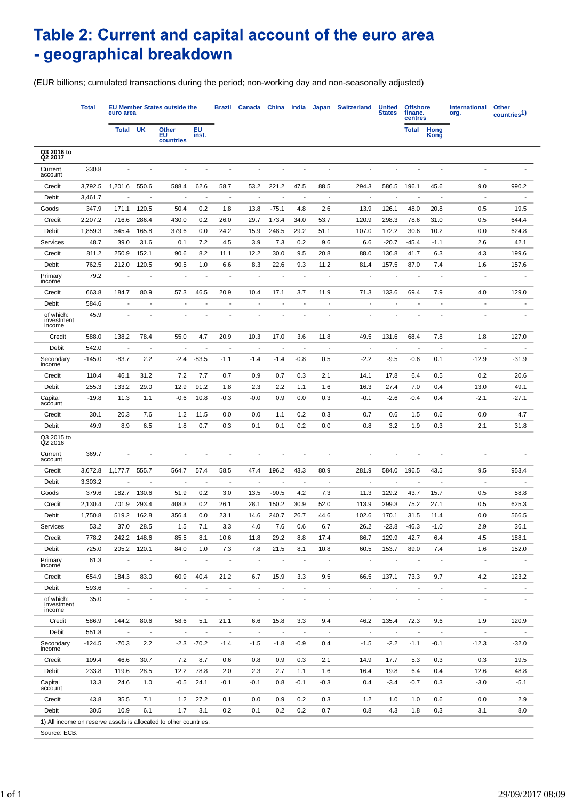## Table 2: Current and capital account of the euro area - geographical breakdown

(EUR billions; cumulated transactions during the period; non-working day and non-seasonally adjusted)

|                                                                  | <b>Total</b> | euro area      |                          | <b>EU Member States outside the</b> | Brazil                   | <b>Canada</b>            | China                    | India                    | Japan                    | <b>Switzerland</b>       | <b>United</b><br><b>States</b> | <b>Offshore</b><br>financ.<br>centres |                          | <b>International</b><br>org. | Other<br>countries <sup>1)</sup> |                |
|------------------------------------------------------------------|--------------|----------------|--------------------------|-------------------------------------|--------------------------|--------------------------|--------------------------|--------------------------|--------------------------|--------------------------|--------------------------------|---------------------------------------|--------------------------|------------------------------|----------------------------------|----------------|
|                                                                  |              | Total          | UK                       | Other<br>ΕU<br>countries            | EU<br>inst.              |                          |                          |                          |                          |                          |                                |                                       | Total                    | Hong<br>Kong                 |                                  |                |
| Q3 2016 to<br>Q2 2017                                            |              |                |                          |                                     |                          |                          |                          |                          |                          |                          |                                |                                       |                          |                              |                                  |                |
| Current<br>account                                               | 330.8        |                |                          |                                     |                          |                          |                          |                          |                          |                          |                                |                                       |                          |                              |                                  |                |
| Credit                                                           | 3,792.5      | 1,201.6        | 550.6                    | 588.4                               | 62.6                     | 58.7                     | 53.2                     | 221.2                    | 47.5                     | 88.5                     | 294.3                          | 586.5                                 | 196.1                    | 45.6                         | 9.0                              | 990.2          |
| Debit                                                            | 3,461.7      |                |                          | $\blacksquare$                      | $\overline{\phantom{a}}$ | $\overline{\phantom{a}}$ |                          | $\blacksquare$           | $\blacksquare$           | $\overline{a}$           | $\overline{\phantom{a}}$       |                                       | ٠                        | $\blacksquare$               | $\overline{\phantom{a}}$         |                |
| Goods                                                            | 347.9        | 171.1          | 120.5                    | 50.4                                | 0.2                      | 1.8                      | 13.8                     | $-75.1$                  | 4.8                      | 2.6                      | 13.9                           | 126.1                                 | 48.0                     | 20.8                         | 0.5                              | 19.5           |
| Credit                                                           | 2,207.2      | 716.6          | 286.4                    | 430.0                               | 0.2                      | 26.0                     | 29.7                     | 173.4                    | 34.0                     | 53.7                     | 120.9                          | 298.3                                 | 78.6                     | 31.0                         | 0.5                              | 644.4          |
| Debit                                                            | 1,859.3      | 545.4          | 165.8                    | 379.6                               | 0.0                      | 24.2                     | 15.9                     | 248.5                    | 29.2                     | 51.1                     | 107.0                          | 172.2                                 | 30.6                     | 10.2                         | 0.0                              | 624.8          |
| Services                                                         | 48.7         | 39.0           | 31.6                     | 0.1                                 | 7.2                      | 4.5                      | 3.9                      | 7.3                      | 0.2                      | 9.6                      | 6.6                            | -20.7                                 | -45.4                    | $-1.1$                       | 2.6                              | 42.1           |
| Credit                                                           | 811.2        | 250.9          | 152.1                    | 90.6                                | 8.2                      | 11.1                     | 12.2                     | 30.0                     | 9.5                      | 20.8                     | 88.0                           | 136.8                                 | 41.7                     | 6.3                          | 4.3                              | 199.6          |
| Debit                                                            | 762.5        | 212.0          | 120.5                    | 90.5                                | 1.0                      | 6.6                      | 8.3                      | 22.6                     | 9.3                      | 11.2                     | 81.4                           | 157.5                                 | 87.0                     | 7.4                          | 1.6                              | 157.6          |
| Primary<br>income                                                | 79.2         |                |                          |                                     |                          |                          |                          |                          |                          |                          |                                |                                       |                          |                              |                                  |                |
| Credit                                                           | 663.8        | 184.7          | 80.9                     | 57.3                                | 46.5                     | 20.9                     | 10.4                     | 17.1                     | 3.7                      | 11.9                     | 71.3                           | 133.6                                 | 69.4                     | 7.9                          | 4.0                              | 129.0          |
| Debit                                                            | 584.6        |                |                          |                                     |                          |                          |                          |                          |                          |                          |                                |                                       |                          | $\blacksquare$               | $\overline{\phantom{a}}$         |                |
| of which:<br>investment<br>income                                | 45.9         |                |                          |                                     |                          |                          |                          |                          |                          |                          |                                |                                       |                          |                              |                                  |                |
| Credit                                                           | 588.0        | 138.2          | 78.4                     | 55.0                                | 4.7                      | 20.9                     | 10.3                     | 17.0                     | 3.6                      | 11.8                     | 49.5                           | 131.6                                 | 68.4                     | 7.8                          | 1.8                              | 127.0          |
| Debit                                                            | 542.0        | $\blacksquare$ | Ĭ.                       | $\overline{\phantom{a}}$            | $\overline{\phantom{a}}$ | $\overline{\phantom{a}}$ | $\overline{\phantom{a}}$ | $\overline{\phantom{a}}$ | $\overline{\phantom{a}}$ | $\overline{\phantom{a}}$ | J.                             |                                       | $\overline{\phantom{a}}$ | $\overline{a}$               | $\overline{\phantom{a}}$         |                |
| Secondary<br>income                                              | $-145.0$     | $-83.7$        | 2.2                      | -2.4                                | $-83.5$                  | $-1.1$                   | $-1.4$                   | -1.4                     | $-0.8$                   | 0.5                      | $-2.2$                         | $-9.5$                                | $-0.6$                   | 0.1                          | $-12.9$                          | $-31.9$        |
| Credit                                                           | 110.4        | 46.1           | 31.2                     | 7.2                                 | 7.7                      | 0.7                      | 0.9                      | 0.7                      | 0.3                      | 2.1                      | 14.1                           | 17.8                                  | 6.4                      | 0.5                          | 0.2                              | 20.6           |
| Debit                                                            | 255.3        | 133.2          | 29.0                     | 12.9                                | 91.2                     | 1.8                      | 2.3                      | 2.2                      | 1.1                      | 1.6                      | 16.3                           | 27.4                                  | 7.0                      | 0.4                          | 13.0                             | 49.1           |
| Capital<br>account                                               | $-19.8$      | 11.3           | 1.1                      | -0.6                                | 10.8                     | $-0.3$                   | $-0.0$                   | 0.9                      | 0.0                      | 0.3                      | $-0.1$                         | $-2.6$                                | $-0.4$                   | 0.4                          | $-2.1$                           | $-27.1$        |
| Credit                                                           | 30.1         | 20.3           | 7.6                      | $1.2$                               | 11.5                     | 0.0                      | 0.0                      | 1.1                      | 0.2                      | 0.3                      | 0.7                            | 0.6                                   | 1.5                      | 0.6                          | 0.0                              | 4.7            |
| Debit                                                            | 49.9         | 8.9            | 6.5                      | 1.8                                 | 0.7                      | 0.3                      | 0.1                      | 0.1                      | 0.2                      | 0.0                      | 0.8                            | 3.2                                   | 1.9                      | 0.3                          | 2.1                              | 31.8           |
| Q3 2015 to<br>Q2 2016                                            |              |                |                          |                                     |                          |                          |                          |                          |                          |                          |                                |                                       |                          |                              |                                  |                |
| Current<br>account                                               | 369.7        |                |                          |                                     |                          |                          |                          |                          |                          |                          |                                |                                       |                          |                              |                                  |                |
| Credit                                                           | 3,672.8      | 1,177.7        | 555.7                    | 564.7                               | 57.4                     | 58.5                     | 47.4                     | 196.2                    | 43.3                     | 80.9                     | 281.9                          | 584.0                                 | 196.5                    | 43.5                         | 9.5                              | 953.4          |
| Debit                                                            | 3,303.2      |                |                          |                                     | $\overline{\phantom{a}}$ | $\overline{a}$           |                          | $\overline{\phantom{a}}$ | $\overline{\phantom{a}}$ | $\overline{\phantom{a}}$ |                                |                                       | $\overline{a}$           | $\overline{\phantom{a}}$     | $\overline{\phantom{a}}$         |                |
| Goods                                                            | 379.6        | 182.7          | 130.6                    | 51.9                                | 0.2                      | 3.0                      | 13.5                     | $-90.5$                  | 4.2                      | 7.3                      | 11.3                           | 129.2                                 | 43.7                     | 15.7                         | 0.5                              | 58.8           |
| Credit                                                           | 2,130.4      | 701.9          | 293.4                    | 408.3                               | 0.2                      | 26.1                     | 28.1                     | 150.2                    | 30.9                     | 52.0                     | 113.9                          | 299.3                                 | 75.2                     | 27.1                         | 0.5                              | 625.3          |
| Debit                                                            | 1,750.8      | 519.2          | 162.8                    | 356.4                               | 0.0                      | 23.1                     | 14.6                     | 240.7                    | 26.7                     | 44.6                     | 102.6                          | 170.1                                 | 31.5                     | 11.4                         | 0.0                              | 566.5          |
| Services                                                         | 53.2         | 37.0           | 28.5                     | 1.5                                 | 7.1                      | 3.3                      | 4.0                      | 7.6                      | 0.6                      | 6.7                      | 26.2                           | $-23.8$                               | $-46.3$                  | -1.0                         | 2.9                              | 36.1           |
| Credit                                                           | 778.2        | 242.2          | 148.6                    | 85.5                                | 8.1                      | 10.6                     | 11.8                     | 29.2                     | 8.8                      | 17.4                     | 86.7                           | 129.9                                 | 42.7                     | 6.4                          | 4.5                              | 188.1          |
| Debit                                                            | 725.0        | 205.2          | 120.1                    | 84.0                                | 1.0                      | 7.3                      | 7.8                      | 21.5                     | 8.1                      | 10.8                     | 60.5                           | 153.7                                 | 89.0                     | 7.4                          | 1.6                              | 152.0          |
| Primary<br>incomé                                                | 61.3         |                |                          |                                     | $\overline{\phantom{a}}$ | Ĭ.                       | $\sim$                   |                          |                          |                          |                                |                                       |                          |                              | $\overline{a}$                   |                |
| Credit                                                           | 654.9        | 184.3          | 83.0                     | 60.9                                | 40.4                     | 21.2                     | 6.7                      | 15.9                     | 3.3                      | 9.5                      | 66.5                           | 137.1                                 | 73.3                     | 9.7                          | 4.2                              | 123.2          |
| Debit                                                            | 593.6        | $\blacksquare$ | ÷.                       | $\blacksquare$                      | $\overline{a}$           | $\blacksquare$           | $\blacksquare$           | $\overline{\phantom{a}}$ | $\blacksquare$           | $\blacksquare$           | $\overline{a}$                 | ÷                                     | $\blacksquare$           | $\blacksquare$               | $\blacksquare$                   | $\overline{a}$ |
| of which:<br>investment<br>income                                | 35.0         | $\overline{a}$ |                          | $\overline{a}$                      |                          |                          |                          | $\overline{\phantom{a}}$ | $\overline{a}$           | ä,                       |                                |                                       | ä,                       |                              | $\overline{a}$                   |                |
| Credit                                                           | 586.9        | 144.2          | 80.6                     | 58.6                                | 5.1                      | 21.1                     | 6.6                      | 15.8                     | 3.3                      | 9.4                      | 46.2                           | 135.4                                 | 72.3                     | 9.6                          | 1.9                              | 120.9          |
| Debit                                                            | 551.8        | $\blacksquare$ | $\overline{\phantom{a}}$ | $\overline{\phantom{a}}$            | $\overline{\phantom{a}}$ | $\blacksquare$           | $\overline{\phantom{a}}$ | $\overline{\phantom{a}}$ | $\overline{\phantom{a}}$ | $\overline{\phantom{a}}$ | $\overline{\phantom{a}}$       | $\overline{\phantom{a}}$              | $\overline{\phantom{a}}$ | $\overline{\phantom{a}}$     | $\overline{\phantom{a}}$         |                |
| Secondary<br>income                                              | $-124.5$     | $-70.3$        | 2.2                      | -2.3                                | $-70.2$                  | $-1.4$                   | $-1.5$                   | $-1.8$                   | $-0.9$                   | 0.4                      | $-1.5$                         | $-2.2$                                | $-1.1$                   | $-0.1$                       | $-12.3$                          | $-32.0$        |
| Credit                                                           | 109.4        | 46.6           | 30.7                     | 7.2                                 | 8.7                      | 0.6                      | 0.8                      | 0.9                      | 0.3                      | 2.1                      | 14.9                           | 17.7                                  | 5.3                      | 0.3                          | 0.3                              | 19.5           |
| Debit                                                            | 233.8        | 119.6          | 28.5                     | 12.2                                | 78.8                     | 2.0                      | 2.3                      | 2.7                      | 1.1                      | 1.6                      | 16.4                           | 19.8                                  | 6.4                      | 0.4                          | 12.6                             | 48.8           |
| Capital<br>account                                               | 13.3         | 24.6           | 1.0                      | $-0.5$                              | 24.1                     | $-0.1$                   | $-0.1$                   | 0.8                      | $-0.1$                   | -0.3                     | 0.4                            | $-3.4$                                | $-0.7$                   | 0.3                          | $-3.0$                           | $-5.1$         |
| Credit                                                           | 43.8         | 35.5           | 7.1                      | 1.2                                 | 27.2                     | 0.1                      | 0.0                      | 0.9                      | 0.2                      | 0.3                      | $1.2$                          | 1.0                                   | 1.0                      | 0.6                          | 0.0                              | 2.9            |
| Debit                                                            | 30.5         | 10.9           | 6.1                      | 1.7                                 | 3.1                      | 0.2                      | 0.1                      | 0.2                      | 0.2                      | 0.7                      | 0.8                            | 4.3                                   | 1.8                      | 0.3                          | 3.1                              | 8.0            |
| 1) All income on reserve assets is allocated to other countries. |              |                |                          |                                     |                          |                          |                          |                          |                          |                          |                                |                                       |                          |                              |                                  |                |
| Source: ECB.                                                     |              |                |                          |                                     |                          |                          |                          |                          |                          |                          |                                |                                       |                          |                              |                                  |                |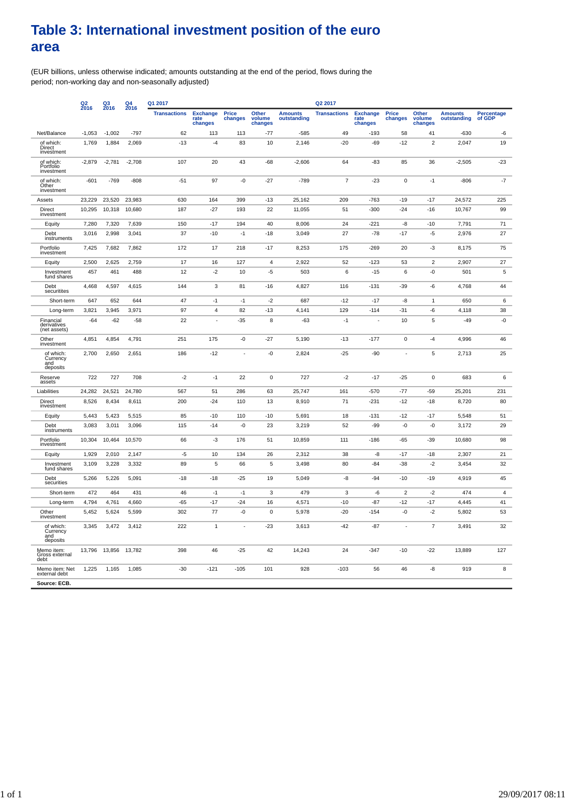### **Table 3: International investment position of the euro area**

(EUR billions, unless otherwise indicated; amounts outstanding at the end of the period, flows during the period; non-working day and non-seasonally adjusted)

|                                          | Q <sub>2</sub><br>2016 | $^{Q3}_{2016}$ | $\frac{Q4}{2016}$<br>Q1 2017<br>Q2 2017 |                     |                                    |                  |                            |                               |                     |                                    |                  |                            |                               |                             |
|------------------------------------------|------------------------|----------------|-----------------------------------------|---------------------|------------------------------------|------------------|----------------------------|-------------------------------|---------------------|------------------------------------|------------------|----------------------------|-------------------------------|-----------------------------|
|                                          |                        |                |                                         | <b>Transactions</b> | <b>Exchange</b><br>rąte<br>changes | Price<br>changes | Other<br>volume<br>changes | <b>Amounts</b><br>outstanding | <b>Transactions</b> | <b>Exchange</b><br>rate<br>changes | Price<br>changes | Other<br>volume<br>changes | <b>Amounts</b><br>outstanding | <b>Percentage</b><br>of GDP |
| Net/Balance                              | $-1,053$               | $-1,002$       | $-797$                                  | 62                  | 113                                | 113              | $-77$                      | $-585$                        | 49                  | $-193$                             | 58               | 41                         | $-630$                        | -6                          |
| of which:<br>Direct<br>investment        | 1,769                  | 1,884          | 2,069                                   | $-13$               | $-4$                               | 83               | 10                         | 2,146                         | $-20$               | $-69$                              | $-12$            | $\overline{2}$             | 2,047                         | 19                          |
| of which:<br>Portfolio<br>investment     | $-2,879$               | $-2,781$       | $-2,708$                                | 107                 | 20                                 | 43               | $-68$                      | $-2,606$                      | 64                  | -83                                | 85               | 36                         | $-2,505$                      | $-23$                       |
| of which:<br>Other<br>investment         | $-601$                 | $-769$         | $-808$                                  | $-51$               | 97                                 | $-0$             | $-27$                      | $-789$                        | $\overline{7}$      | $-23$                              | $\mathbf 0$      | $-1$                       | $-806$                        | $-7$                        |
| Assets                                   | 23,229                 | 23,520         | 23,983                                  | 630                 | 164                                | 399              | $-13$                      | 25,162                        | 209                 | $-763$                             | $-19$            | $-17$                      | 24,572                        | 225                         |
| Direct<br>investment                     | 10,295                 | 10,318         | 10,680                                  | 187                 | $-27$                              | 193              | 22                         | 11,055                        | 51                  | -300                               | $-24$            | $-16$                      | 10,767                        | 99                          |
| Equity                                   | 7,280                  | 7,320          | 7,639                                   | 150                 | $-17$                              | 194              | 40                         | 8,006                         | 24                  | $-221$                             | -8               | $-10$                      | 7,791                         | 71                          |
| Debt<br>instruments                      | 3,016                  | 2,998          | 3,041                                   | 37                  | $-10$                              | $-1$             | $-18$                      | 3,049                         | 27                  | $-78$                              | $-17$            | $-5$                       | 2,976                         | 27                          |
| Portfolio<br>investment                  | 7,425                  | 7,682          | 7,862                                   | 172                 | 17                                 | 218              | $-17$                      | 8,253                         | 175                 | $-269$                             | 20               | $-3$                       | 8,175                         | 75                          |
| Equity                                   | 2,500                  | 2,625          | 2,759                                   | 17                  | 16                                 | 127              | 4                          | 2,922                         | 52                  | $-123$                             | 53               | $\overline{c}$             | 2,907                         | 27                          |
| Investment<br>fund shares                | 457                    | 461            | 488                                     | 12                  | $-2$                               | 10               | $-5$                       | 503                           | 6                   | $-15$                              | 6                | -0                         | 501                           | 5                           |
| Debt<br>securitites                      | 4,468                  | 4,597          | 4,615                                   | 144                 | $\mathbf{3}$                       | 81               | $-16$                      | 4,827                         | 116                 | $-131$                             | $-39$            | -6                         | 4,768                         | 44                          |
| Short-term                               | 647                    | 652            | 644                                     | 47                  | $-1$                               | $-1$             | $-2$                       | 687                           | $-12$               | $-17$                              | -8               | $\mathbf{1}$               | 650                           | 6                           |
| Long-term                                | 3,821                  | 3,945          | 3,971                                   | 97                  | 4                                  | 82               | $-13$                      | 4,141                         | 129                 | $-114$                             | $-31$            | -6                         | 4,118                         | 38                          |
| Financial<br>derivatives<br>(net assets) | $-64$                  | $-62$          | $-58$                                   | 22                  |                                    | $-35$            | 8                          | $-63$                         | $-1$                |                                    | 10               | 5                          | $-49$                         | -0                          |
| Other<br>investment                      | 4,851                  | 4,854          | 4,791                                   | 251                 | 175                                | -0               | $-27$                      | 5,190                         | $-13$               | $-177$                             | $\mathbf 0$      | $-4$                       | 4,996                         | 46                          |
| of which:<br>Currency<br>and<br>deposits | 2,700                  | 2,650          | 2,651                                   | 186                 | $-12$                              |                  | $-0$                       | 2,824                         | $-25$               | $-90$                              |                  | 5                          | 2,713                         | 25                          |
| Reserve<br>assets                        | 722                    | 727            | 708                                     | $-2$                | $-1$                               | 22               | $\mathbf 0$                | 727                           | $-2$                | $-17$                              | $-25$            | $\pmb{0}$                  | 683                           | 6                           |
| Liabilities                              | 24,282                 | 24,521         | 24,780                                  | 567                 | 51                                 | 286              | 63                         | 25,747                        | 161                 | $-570$                             | $-77$            | $-59$                      | 25,201                        | 231                         |
| Direct<br>investment                     | 8,526                  | 8,434          | 8,611                                   | 200                 | $-24$                              | 110              | 13                         | 8,910                         | 71                  | $-231$                             | $-12$            | $-18$                      | 8,720                         | 80                          |
| Equity                                   | 5,443                  | 5,423          | 5,515                                   | 85                  | $-10$                              | 110              | $-10$                      | 5,691                         | 18                  | $-131$                             | -12              | $-17$                      | 5,548                         | 51                          |
| Debt<br>instruments                      | 3,083                  | 3,011          | 3,096                                   | 115                 | $-14$                              | -0               | 23                         | 3,219                         | 52                  | $-99$                              | -0               | $-0$                       | 3,172                         | 29                          |
| Portfolio<br>investment                  | 10,304                 | 10,464         | 10,570                                  | 66                  | $-3$                               | 176              | 51                         | 10,859                        | 111                 | $-186$                             | $-65$            | $-39$                      | 10,680                        | 98                          |
| Equity                                   | 1,929                  | 2,010          | 2,147                                   | $-5$                | 10                                 | 134              | 26                         | 2,312                         | 38                  | -8                                 | $-17$            | $-18$                      | 2,307                         | 21                          |
| Investment<br>fund shares                | 3,109                  | 3,228          | 3,332                                   | 89                  | 5                                  | 66               | 5                          | 3,498                         | 80                  | -84                                | $-38$            | $-2$                       | 3,454                         | 32                          |
| Debt<br>securities                       | 5,266                  | 5,226          | 5,091                                   | $-18$               | $-18$                              | $-25$            | 19                         | 5,049                         | -8                  | $-94$                              | $-10$            | $-19$                      | 4,919                         | 45                          |
| Short-term                               | 472                    | 464            | 431                                     | 46                  | $-1$                               | $-1$             | 3                          | 479                           | 3                   | -6                                 | $\overline{2}$   | $-2$                       | 474                           | $\overline{4}$              |
| Long-term                                | 4,794                  | 4,761          | 4,660                                   | $-65$               | $-17$                              | $-24$            | 16                         | 4,571                         | $-10$               | $-87$                              | $-12$            | $-17$                      | 4,445                         | 41                          |
| Other<br>investment                      | 5,452                  | 5,624          | 5,599                                   | 302                 | 77                                 | -0               | 0                          | 5,978                         | $-20$               | $-154$                             | -0               | $-2$                       | 5,802                         | 53                          |
| of which:<br>Currency<br>and<br>deposits | 3,345                  | 3,472          | 3,412                                   | 222                 | $\mathbf{1}$                       | ×.               | $-23$                      | 3,613                         | $-42$               | $-87$                              | ÷.               | $\boldsymbol{7}$           | 3,491                         | 32                          |
| Memo item:<br>Gross external<br>debt     | 13,796                 | 13,856         | 13,782                                  | 398                 | 46                                 | $-25$            | 42                         | 14,243                        | 24                  | $-347$                             | $-10$            | $-22$                      | 13,889                        | 127                         |
| Memo item: Net<br>external debt          | 1,225                  | 1,165          | 1,085                                   | $-30$               | $-121$                             | $-105$           | 101                        | 928                           | $-103$              | 56                                 | 46               | -8                         | 919                           | $\bf 8$                     |
| Source: ECB.                             |                        |                |                                         |                     |                                    |                  |                            |                               |                     |                                    |                  |                            |                               |                             |